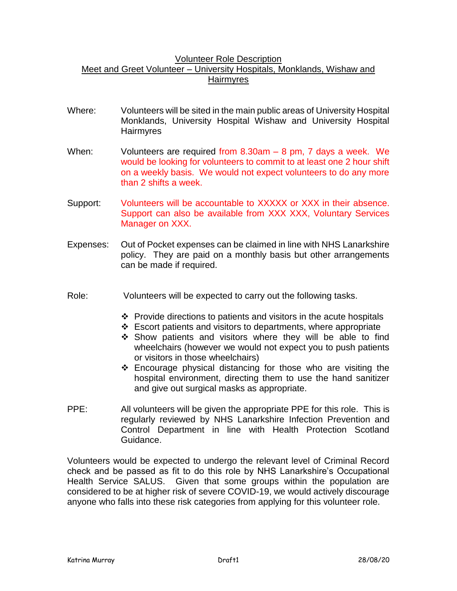## Volunteer Role Description Meet and Greet Volunteer – University Hospitals, Monklands, Wishaw and **Hairmyres**

- Where: Volunteers will be sited in the main public areas of University Hospital Monklands, University Hospital Wishaw and University Hospital Hairmyres
- When: Volunteers are required from 8.30am 8 pm, 7 days a week. We would be looking for volunteers to commit to at least one 2 hour shift on a weekly basis. We would not expect volunteers to do any more than 2 shifts a week.
- Support: Volunteers will be accountable to XXXXX or XXX in their absence. Support can also be available from XXX XXX, Voluntary Services Manager on XXX.
- Expenses: Out of Pocket expenses can be claimed in line with NHS Lanarkshire policy. They are paid on a monthly basis but other arrangements can be made if required.
- Role: Volunteers will be expected to carry out the following tasks.
	- $\div$  Provide directions to patients and visitors in the acute hospitals
	- $\div$  Escort patients and visitors to departments, where appropriate
	- Show patients and visitors where they will be able to find wheelchairs (however we would not expect you to push patients or visitors in those wheelchairs)
	- Encourage physical distancing for those who are visiting the hospital environment, directing them to use the hand sanitizer and give out surgical masks as appropriate.
- PPE: All volunteers will be given the appropriate PPE for this role. This is regularly reviewed by NHS Lanarkshire Infection Prevention and Control Department in line with Health Protection Scotland Guidance.

Volunteers would be expected to undergo the relevant level of Criminal Record check and be passed as fit to do this role by NHS Lanarkshire's Occupational Health Service SALUS. Given that some groups within the population are considered to be at higher risk of severe COVID-19, we would actively discourage anyone who falls into these risk categories from applying for this volunteer role.